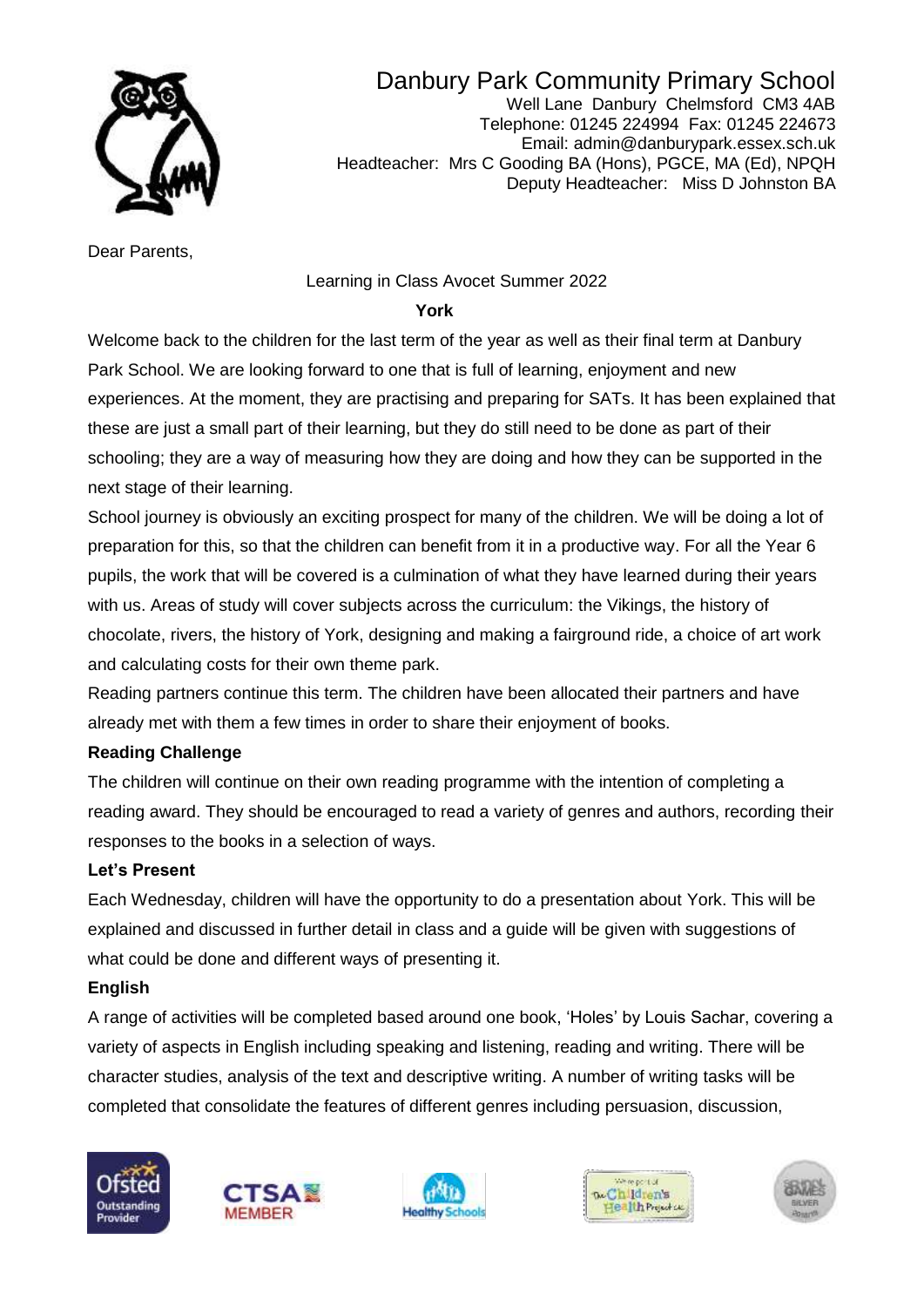

Danbury Park Community Primary School Well Lane Danbury Chelmsford CM3 4AB Telephone: 01245 224994 Fax: 01245 224673 Email: admin@danburypark.essex.sch.uk Headteacher: Mrs C Gooding BA (Hons), PGCE, MA (Ed), NPQH Deputy Headteacher: Miss D Johnston BA

Dear Parents,

### Learning in Class Avocet Summer 2022

#### ال المستخدم المستخدم المستخدم المستخدم المستخدم المستخدم المستخدم المستخدم المستخدم المستخدم المستخدم المستخدم

Welcome back to the children for the last term of the year as well as their final term at Danbury Park School. We are looking forward to one that is full of learning, enjoyment and new experiences. At the moment, they are practising and preparing for SATs. It has been explained that these are just a small part of their learning, but they do still need to be done as part of their schooling; they are a way of measuring how they are doing and how they can be supported in the next stage of their learning.

School journey is obviously an exciting prospect for many of the children. We will be doing a lot of preparation for this, so that the children can benefit from it in a productive way. For all the Year 6 pupils, the work that will be covered is a culmination of what they have learned during their years with us. Areas of study will cover subjects across the curriculum: the Vikings, the history of chocolate, rivers, the history of York, designing and making a fairground ride, a choice of art work and calculating costs for their own theme park.

Reading partners continue this term. The children have been allocated their partners and have already met with them a few times in order to share their enjoyment of books.

### **Reading Challenge**

The children will continue on their own reading programme with the intention of completing a reading award. They should be encouraged to read a variety of genres and authors, recording their responses to the books in a selection of ways.

#### **Let's Present**

Each Wednesday, children will have the opportunity to do a presentation about York. This will be explained and discussed in further detail in class and a guide will be given with suggestions of what could be done and different ways of presenting it.

#### **English**

A range of activities will be completed based around one book, 'Holes' by Louis Sachar, covering a variety of aspects in English including speaking and listening, reading and writing. There will be character studies, analysis of the text and descriptive writing. A number of writing tasks will be completed that consolidate the features of different genres including persuasion, discussion,









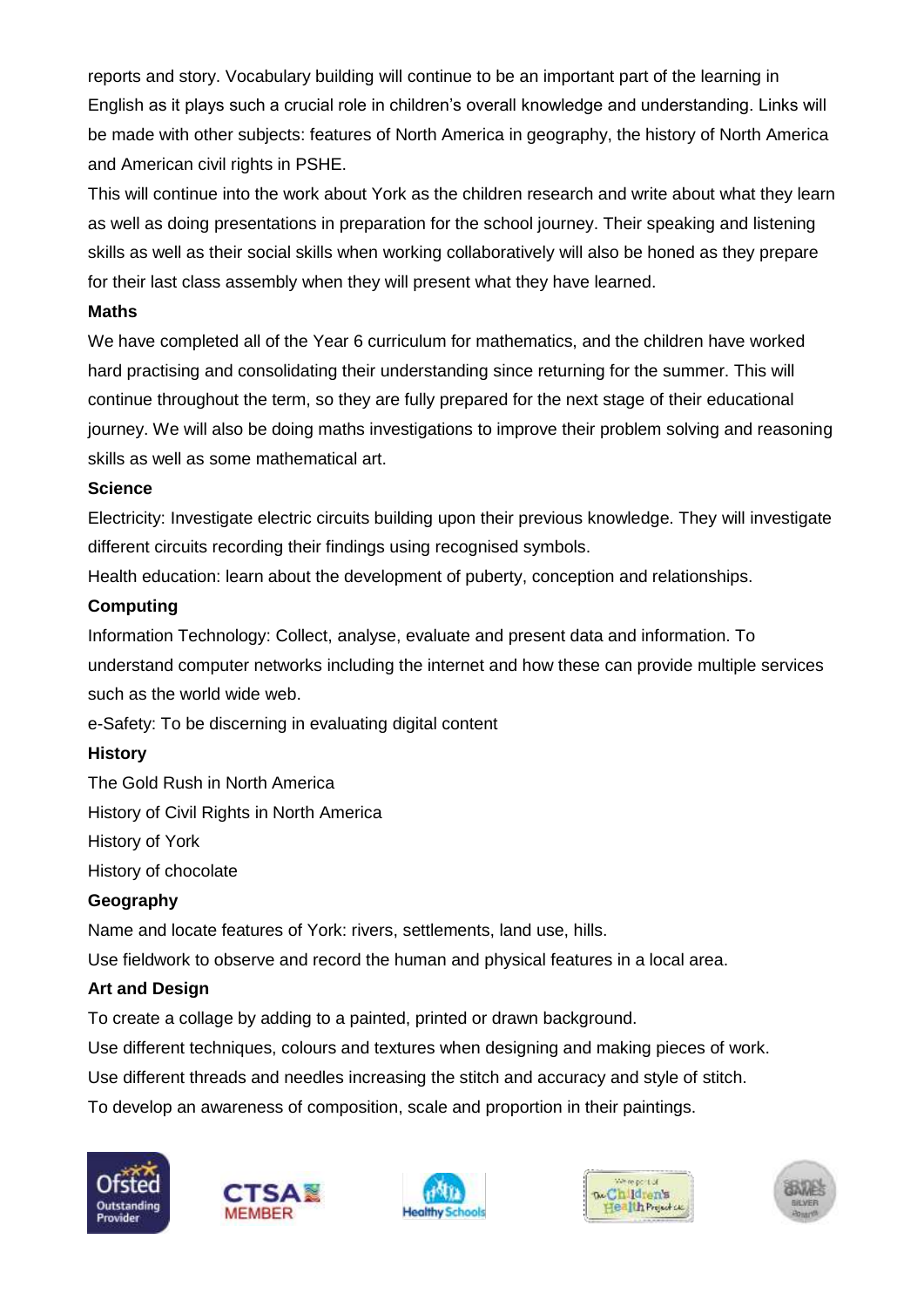reports and story. Vocabulary building will continue to be an important part of the learning in English as it plays such a crucial role in children's overall knowledge and understanding. Links will be made with other subjects: features of North America in geography, the history of North America and American civil rights in PSHE.

This will continue into the work about York as the children research and write about what they learn as well as doing presentations in preparation for the school journey. Their speaking and listening skills as well as their social skills when working collaboratively will also be honed as they prepare for their last class assembly when they will present what they have learned.

### **Maths**

We have completed all of the Year 6 curriculum for mathematics, and the children have worked hard practising and consolidating their understanding since returning for the summer. This will continue throughout the term, so they are fully prepared for the next stage of their educational journey. We will also be doing maths investigations to improve their problem solving and reasoning skills as well as some mathematical art.

### **Science**

Electricity: Investigate electric circuits building upon their previous knowledge. They will investigate different circuits recording their findings using recognised symbols.

Health education: learn about the development of puberty, conception and relationships.

### **Computing**

Information Technology: Collect, analyse, evaluate and present data and information. To understand computer networks including the internet and how these can provide multiple services such as the world wide web.

e-Safety: To be discerning in evaluating digital content

# **History**

The Gold Rush in North America History of Civil Rights in North America History of York History of chocolate

### **Geography**

Name and locate features of York: rivers, settlements, land use, hills.

Use fieldwork to observe and record the human and physical features in a local area.

# **Art and Design**

To create a collage by adding to a painted, printed or drawn background.

Use different techniques, colours and textures when designing and making pieces of work.

Use different threads and needles increasing the stitch and accuracy and style of stitch.

To develop an awareness of composition, scale and proportion in their paintings.